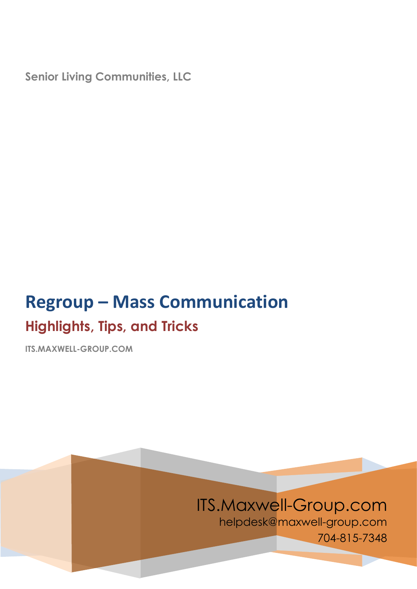**Senior Living Communities, LLC**

# **Regroup – Mass Communication Highlights, Tips, and Tricks**

**ITS.MAXWELL-GROUP.COM**

## ITS.Maxwell-Group.com

helpdesk@maxwell-group.com 704-815-7348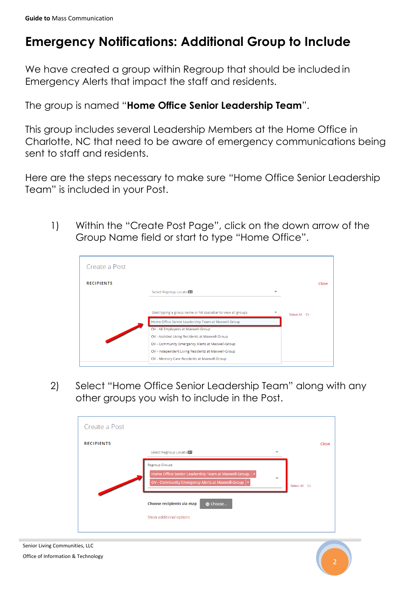### **Emergency Notifications: Additional Group to Include**

We have created a group within Regroup that should be included in Emergency Alerts that impact the staff and residents.

The group is named "**Home Office Senior Leadership Team**".

This group includes several Leadership Members at the Home Office in Charlotte, NC that need to be aware of emergency communications being sent to staff and residents.

Here are the steps necessary to make sure "Home Office Senior Leadership Team" is included in your Post.

1) Within the "Create Post Page", click on the down arrow of the Group Name field or start to type "Home Office".



2) Select "Home Office Senior Leadership Team" along with any other groups you wish to include in the Post.

| Create a Post                                                                                                                                                                          |       |
|----------------------------------------------------------------------------------------------------------------------------------------------------------------------------------------|-------|
| <b>RECIPIENTS</b><br>Select Regroup Locations                                                                                                                                          | Close |
| <b>Regroup Groups</b><br>Home Office Senior Leadership Team at Maxwell-Group,   x<br>$\overline{\phantom{a}}$<br>OV - Community Emergency Alerts at Maxwell-Group   x<br>Select All Cc |       |
| Choose recipients via map<br><b>Choose</b><br>Show additional options                                                                                                                  |       |

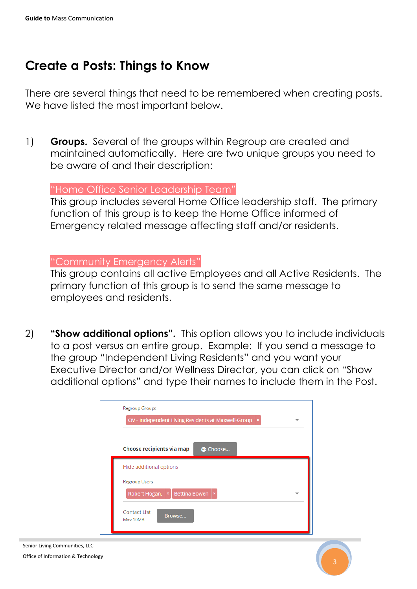### **Create a Posts: Things to Know**

There are several things that need to be remembered when creating posts. We have listed the most important below.

1) **Groups.** Several of the groups within Regroup are created and maintained automatically. Here are two unique groups you need to be aware of and their description:

"Home Office Senior Leadership Team"

This group includes several Home Office leadership staff. The primary function of this group is to keep the Home Office informed of Emergency related message affecting staff and/or residents.

#### "Community Emergency Alerts"

This group contains all active Employees and all Active Residents. The primary function of this group is to send the same message to employees and residents.

2) **"Show additional options".** This option allows you to include individuals to a post versus an entire group. Example: If you send a message to the group "Independent Living Residents" and you want your Executive Director and/or Wellness Director, you can click on "Show additional options" and type their names to include them in the Post.

| <b>Regroup Groups</b>                 | OV - Independent Living Residents at Maxwell-Group   x |  |
|---------------------------------------|--------------------------------------------------------|--|
|                                       | Choose recipients via map<br><b>A</b> Choose           |  |
| Hide additional options               |                                                        |  |
| <b>Regroup Users</b><br>Robert Hogan, | Bettina Bowen   ×                                      |  |
| <b>Contact List</b><br>Max 10MB       | Browse                                                 |  |

Senior Living Communities, LLC Office of Information & Technology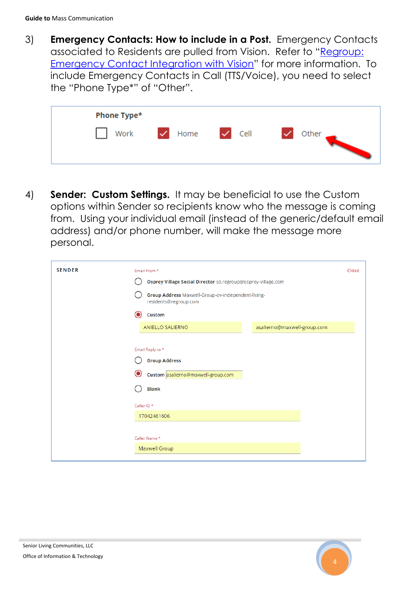3) **Emergency Contacts: How to include in a Post.** Emergency Contacts associated to Residents are pulled from Vision. Refer to "[Regroup:](http://its.maxwell-group.com/wp-content/uploads/2017/09/Regroup-Emergency-Contacts-Integration-with-Vision.pdf)  [Emergency Contact Integration with Vision](http://its.maxwell-group.com/wp-content/uploads/2017/09/Regroup-Emergency-Contacts-Integration-with-Vision.pdf)" for more information. To include Emergency Contacts in Call (TTS/Voice), you need to select the "Phone Type\*" of "Other".

| Phone Type* |                                          |              |  |
|-------------|------------------------------------------|--------------|--|
|             | Work $\checkmark$ Home $\checkmark$ Cell | Other $\_\_$ |  |

4) **Sender: Custom Settings.** It may be beneficial to use the Custom options within Sender so recipients know who the message is coming from. Using your individual email (instead of the generic/default email address) and/or phone number, will make the message more personal.

| <b>SENDER</b> | Email From *<br>Osprey Village Social Director sd.regroup@osprey-village.com<br>Group Address Maxwell-Group-ov-independent-living-<br>residents@regroup.com | Close |
|---------------|-------------------------------------------------------------------------------------------------------------------------------------------------------------|-------|
|               | Custom<br>asalierno@maxwell-group.com<br><b>ANIELLO SALIERNO</b>                                                                                            |       |
|               | Email Reply-to *<br><b>Group Address</b><br>O<br>Custom asalierno@maxwell-group.com<br><b>Blank</b>                                                         |       |
|               | Caller ID *<br>17042461606<br>Caller Name *                                                                                                                 |       |
|               | Maxwell Group                                                                                                                                               |       |